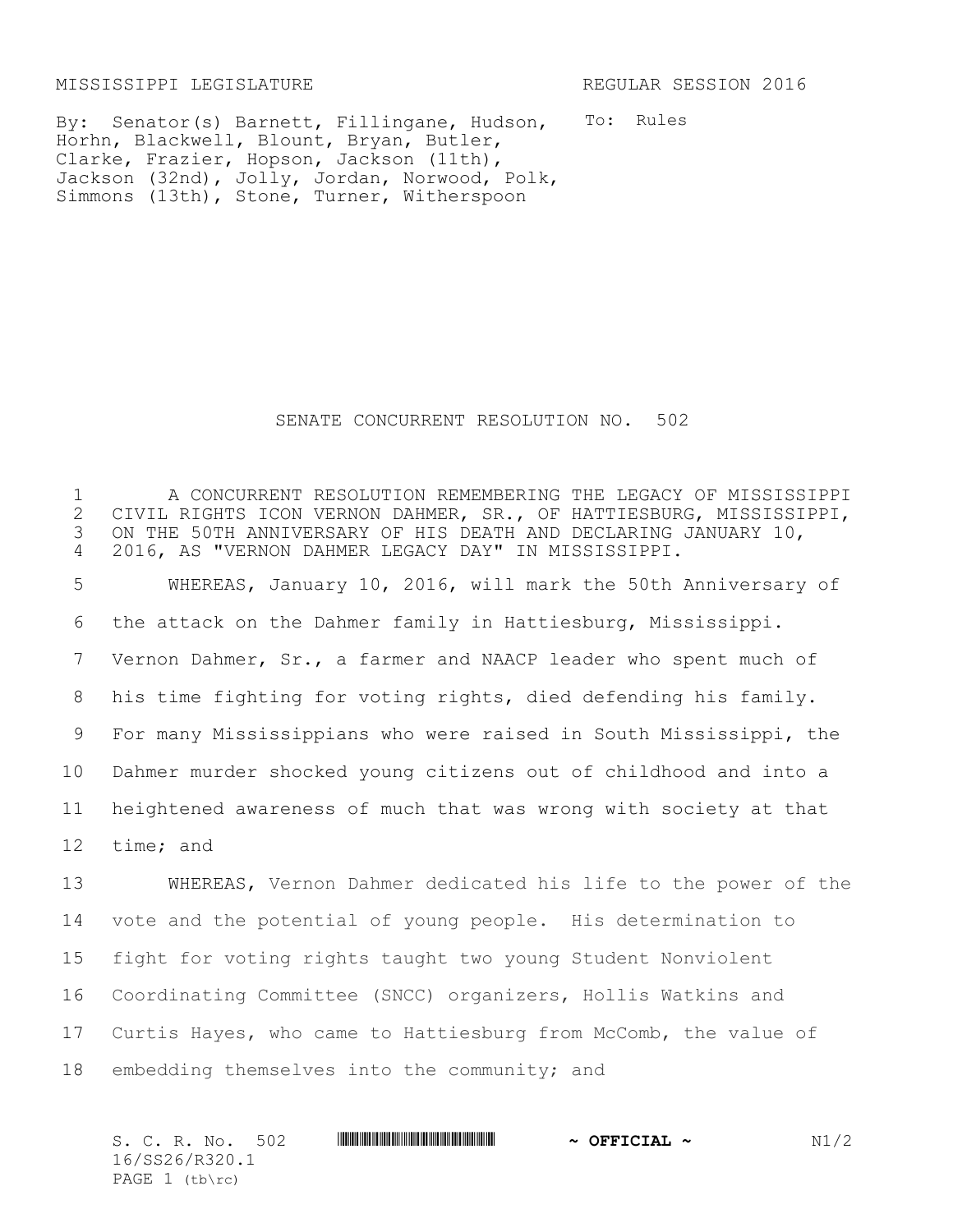MISSISSIPPI LEGISLATURE REGULAR SESSION 2016

To: Rules By: Senator(s) Barnett, Fillingane, Hudson, Horhn, Blackwell, Blount, Bryan, Butler, Clarke, Frazier, Hopson, Jackson (11th), Jackson (32nd), Jolly, Jordan, Norwood, Polk, Simmons (13th), Stone, Turner, Witherspoon

## SENATE CONCURRENT RESOLUTION NO. 502

1 A CONCURRENT RESOLUTION REMEMBERING THE LEGACY OF MISSISSIPPI<br>2 CIVIL RIGHTS ICON VERNON DAHMER, SR., OF HATTIESBURG, MISSISSIPPI, 2 CIVIL RIGHTS ICON VERNON DAHMER, SR., OF HATTIESBURG, MISSISSIPPI,<br>3 ON THE 50TH ANNIVERSARY OF HIS DEATH AND DECLARING JANUARY 10, ON THE 50TH ANNIVERSARY OF HIS DEATH AND DECLARING JANUARY 10, 4 2016, AS "VERNON DAHMER LEGACY DAY" IN MISSISSIPPI.

 WHEREAS, January 10, 2016, will mark the 50th Anniversary of the attack on the Dahmer family in Hattiesburg, Mississippi. Vernon Dahmer, Sr., a farmer and NAACP leader who spent much of his time fighting for voting rights, died defending his family. For many Mississippians who were raised in South Mississippi, the Dahmer murder shocked young citizens out of childhood and into a heightened awareness of much that was wrong with society at that time; and

 WHEREAS, Vernon Dahmer dedicated his life to the power of the vote and the potential of young people. His determination to fight for voting rights taught two young Student Nonviolent Coordinating Committee (SNCC) organizers, Hollis Watkins and Curtis Hayes, who came to Hattiesburg from McComb, the value of embedding themselves into the community; and

S. C. R. No. 502 \*SS26/R320.1\* **~ OFFICIAL ~** N1/2 16/SS26/R320.1 PAGE  $1$  (tb\rc)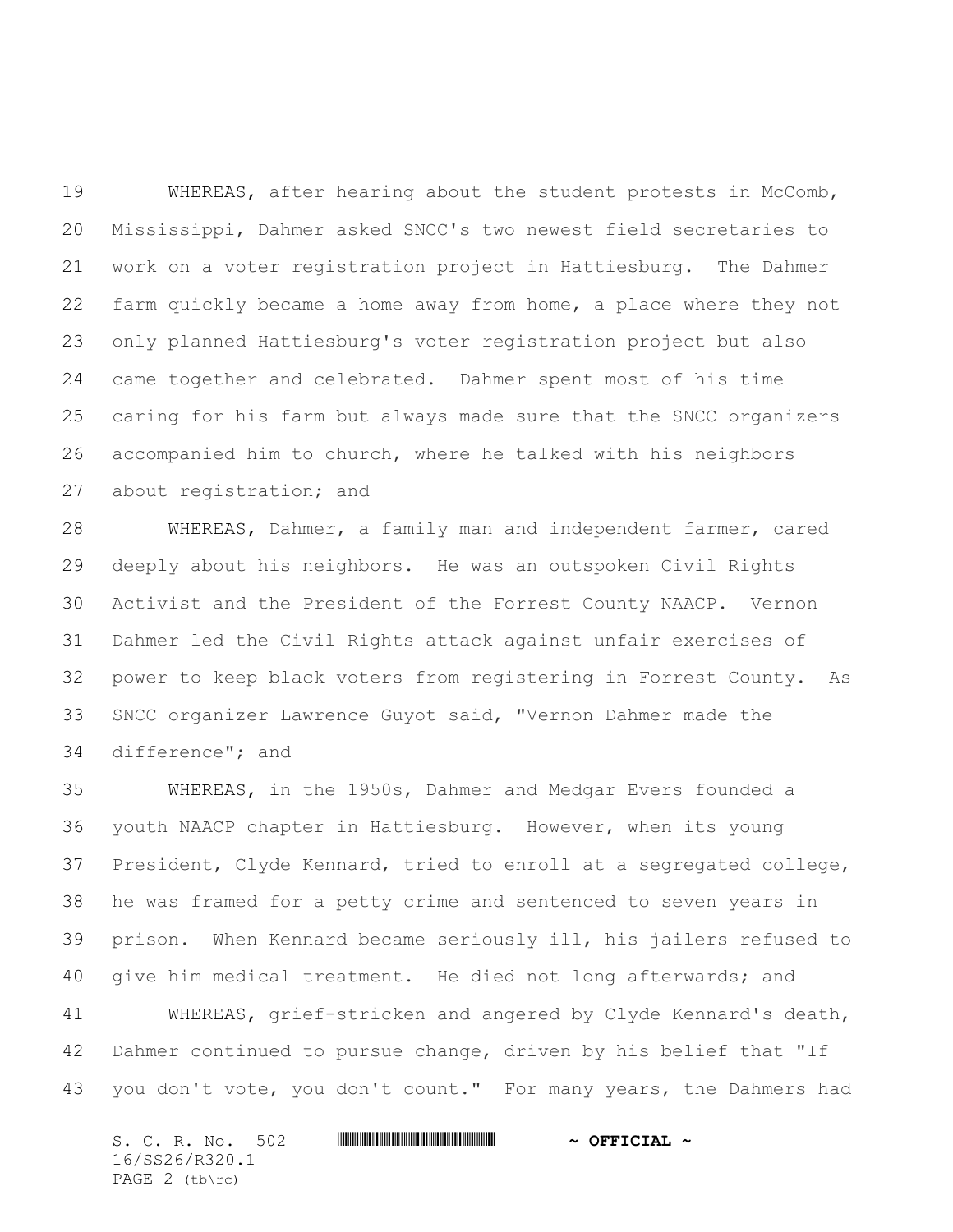WHEREAS, after hearing about the student protests in McComb, Mississippi, Dahmer asked SNCC's two newest field secretaries to work on a voter registration project in Hattiesburg. The Dahmer farm quickly became a home away from home, a place where they not only planned Hattiesburg's voter registration project but also came together and celebrated. Dahmer spent most of his time caring for his farm but always made sure that the SNCC organizers accompanied him to church, where he talked with his neighbors about registration; and

 WHEREAS, Dahmer, a family man and independent farmer, cared deeply about his neighbors. He was an outspoken Civil Rights Activist and the President of the Forrest County NAACP. Vernon Dahmer led the Civil Rights attack against unfair exercises of power to keep black voters from registering in Forrest County. As SNCC organizer Lawrence Guyot said, "Vernon Dahmer made the difference"; and

 WHEREAS, in the 1950s, Dahmer and Medgar Evers founded a youth NAACP chapter in Hattiesburg. However, when its young President, Clyde Kennard, tried to enroll at a segregated college, he was framed for a petty crime and sentenced to seven years in prison. When Kennard became seriously ill, his jailers refused to give him medical treatment. He died not long afterwards; and

 WHEREAS, grief-stricken and angered by Clyde Kennard's death, Dahmer continued to pursue change, driven by his belief that "If 43 you don't vote, you don't count." For many years, the Dahmers had

| S. C. R. No. 502 | $\sim$ OFFICIAL $\sim$ |
|------------------|------------------------|
| 16/SS26/R320.1   |                        |
| PAGE 2 (tb\rc)   |                        |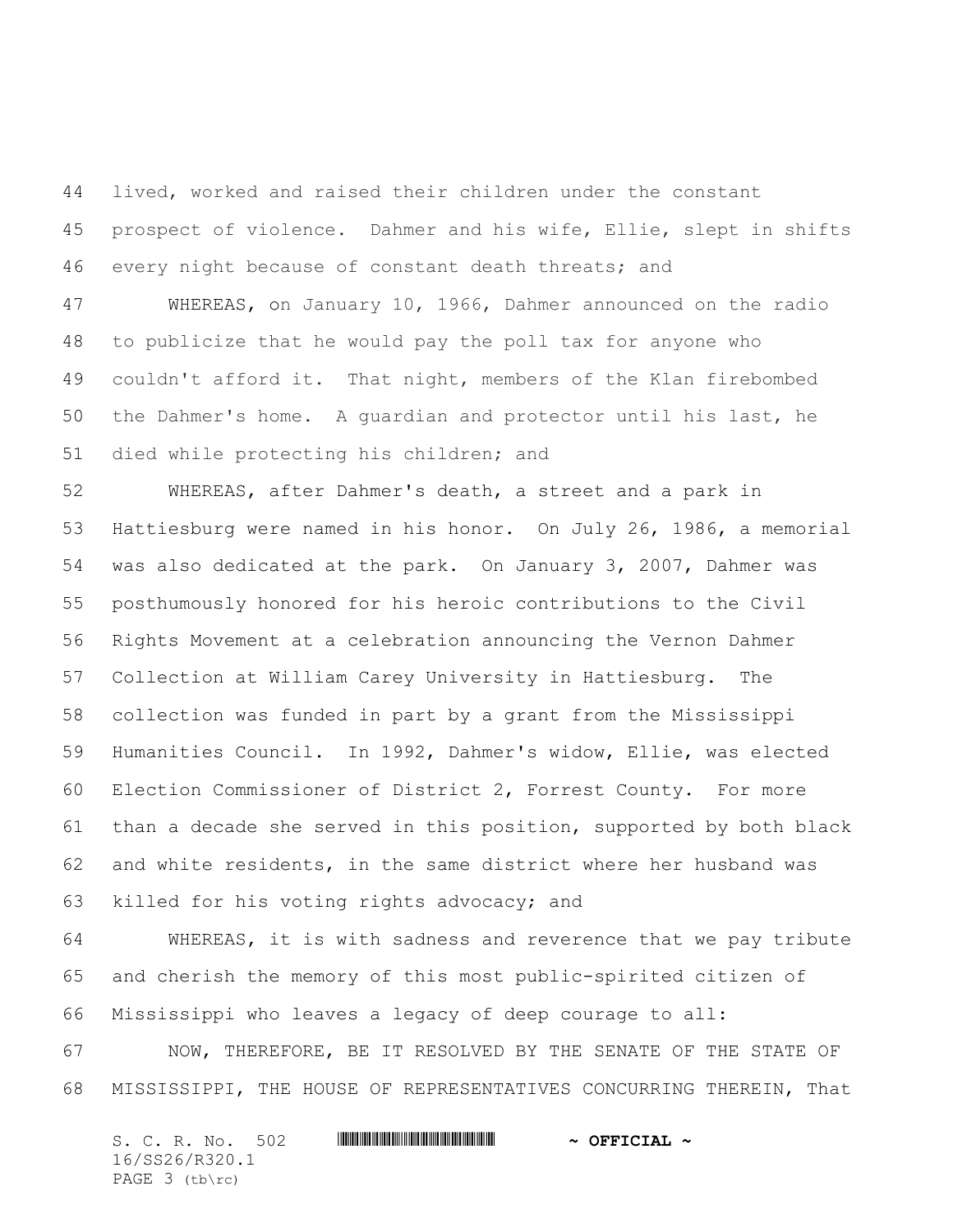lived, worked and raised their children under the constant prospect of violence. Dahmer and his wife, Ellie, slept in shifts every night because of constant death threats; and

 WHEREAS, on January 10, 1966, Dahmer announced on the radio to publicize that he would pay the poll tax for anyone who couldn't afford it. That night, members of the Klan firebombed the Dahmer's home. A guardian and protector until his last, he died while protecting his children; and

 WHEREAS, after Dahmer's death, a street and a park in Hattiesburg were named in his honor. On July 26, 1986, a memorial was also dedicated at the park. On January 3, 2007, Dahmer was posthumously honored for his heroic contributions to the Civil Rights Movement at a celebration announcing the Vernon Dahmer Collection at William Carey University in Hattiesburg. The collection was funded in part by a grant from the Mississippi Humanities Council. In 1992, Dahmer's widow, Ellie, was elected Election Commissioner of District 2, Forrest County. For more than a decade she served in this position, supported by both black and white residents, in the same district where her husband was killed for his voting rights advocacy; and

 WHEREAS, it is with sadness and reverence that we pay tribute and cherish the memory of this most public-spirited citizen of Mississippi who leaves a legacy of deep courage to all:

 NOW, THEREFORE, BE IT RESOLVED BY THE SENATE OF THE STATE OF MISSISSIPPI, THE HOUSE OF REPRESENTATIVES CONCURRING THEREIN, That

S. C. R. No. 502 **\*\*\* WILLE AND AND ASSEMBLE A cretcial ~** 16/SS26/R320.1 PAGE 3 (tb\rc)